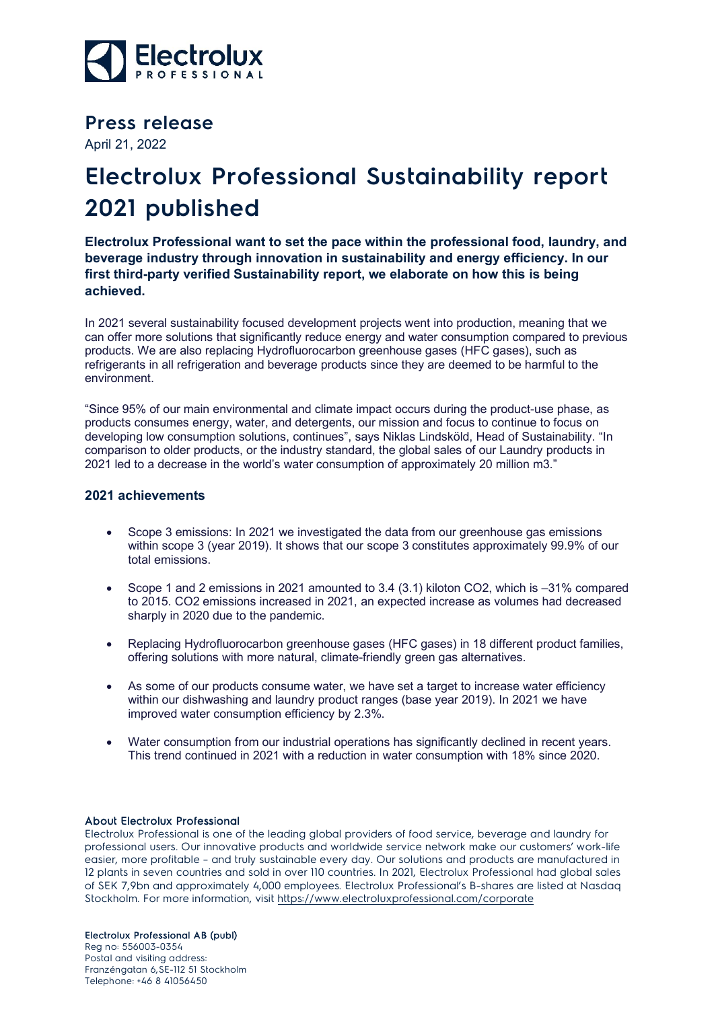

**Press release**

April 21, 2022

## **Electrolux Professional Sustainability report 2021 published**

**Electrolux Professional want to set the pace within the professional food, laundry, and beverage industry through innovation in sustainability and energy efficiency. In our first third-party verified Sustainability report, we elaborate on how this is being achieved.**

In 2021 several sustainability focused development projects went into production, meaning that we can offer more solutions that significantly reduce energy and water consumption compared to previous products. We are also replacing Hydrofluorocarbon greenhouse gases (HFC gases), such as refrigerants in all refrigeration and beverage products since they are deemed to be harmful to the environment.

"Since 95% of our main environmental and climate impact occurs during the product-use phase, as products consumes energy, water, and detergents, our mission and focus to continue to focus on developing low consumption solutions, continues", says Niklas Lindsköld, Head of Sustainability. "In comparison to older products, or the industry standard, the global sales of our Laundry products in 2021 led to a decrease in the world's water consumption of approximately 20 million m3."

## **2021 achievements**

- Scope 3 emissions: In 2021 we investigated the data from our greenhouse gas emissions within scope 3 (year 2019). It shows that our scope 3 constitutes approximately 99.9% of our total emissions.
- Scope 1 and 2 emissions in 2021 amounted to 3.4 (3.1) kiloton CO2, which is –31% compared to 2015. CO2 emissions increased in 2021, an expected increase as volumes had decreased sharply in 2020 due to the pandemic.
- Replacing Hydrofluorocarbon greenhouse gases (HFC gases) in 18 different product families, offering solutions with more natural, climate-friendly green gas alternatives.
- As some of our products consume water, we have set a target to increase water efficiency within our dishwashing and laundry product ranges (base year 2019). In 2021 we have improved water consumption efficiency by 2.3%.
- Water consumption from our industrial operations has significantly declined in recent years. This trend continued in 2021 with a reduction in water consumption with 18% since 2020.

## About Electrolux Professional

Electrolux Professional is one of the leading global providers of food service, beverage and laundry for professional users. Our innovative products and worldwide service network make our customers' work-life easier, more profitable – and truly sustainable every day. Our solutions and products are manufactured in 12 plants in seven countries and sold in over 110 countries. In 2021, Electrolux Professional had global sales of SEK 7,9bn and approximately 4,000 employees. Electrolux Professional's B-shares are listed at Nasdaq Stockholm. For more information, visit<https://www.electroluxprofessional.com/corporate>

Electrolux Professional AB (publ)

Reg no: 556003-0354 Postal and visiting address: Franzéngatan 6,SE-112 51 Stockholm Telephone: +46 8 41056450